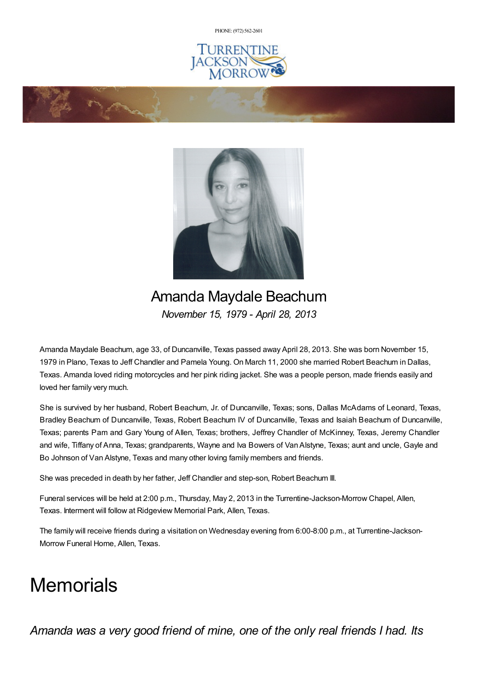PHONE: (972) [562-2601](tel:(972) 562-2601)







# Amanda Maydale Beachum *November 15, 1979 - April 28, 2013*

Amanda Maydale Beachum, age 33, of Duncanville, Texas passed away April 28, 2013. She was born November 15, 1979 in Plano, Texas to Jeff Chandler and Pamela Young. On March 11, 2000 she married Robert Beachum in Dallas, Texas. Amanda loved riding motorcycles and her pink riding jacket. She was a people person, made friends easily and loved her family very much.

She is survived by her husband, Robert Beachum, Jr. of Duncanville, Texas; sons, Dallas McAdams of Leonard, Texas, Bradley Beachum of Duncanville, Texas, Robert Beachum IV of Duncanville, Texas and Isaiah Beachum of Duncanville, Texas; parents Pam and Gary Young of Allen, Texas; brothers, Jeffrey Chandler of McKinney, Texas, Jeremy Chandler and wife, Tiffany of Anna, Texas; grandparents, Wayne and Iva Bowers of VanAlstyne, Texas; aunt and uncle, Gayle and Bo Johnson of Van Alstyne, Texas and many other loving family members and friends.

She was preceded in death by her father, Jeff Chandler and step-son, Robert Beachum III.

Funeral services will be held at 2:00 p.m., Thursday, May 2, 2013 in the Turrentine-Jackson-Morrow Chapel, Allen, Texas. Interment will follow at Ridgeview Memorial Park, Allen, Texas.

The family will receive friends during a visitation on Wednesday evening from 6:00-8:00 p.m., at Turrentine-Jackson-Morrow Funeral Home, Allen, Texas.

# **Memorials**

*Amanda was a very good friend of mine, one of the only real friends I had. Its*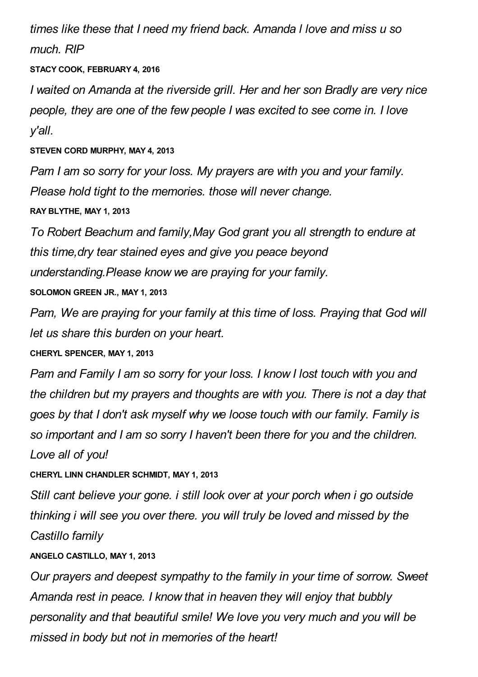*times like these that I need my friend back. Amanda l love and miss u so much. RIP*

**STACY COOK, FEBRUARY 4, 2016**

*I waited on Amanda at the riverside grill. Her and her son Bradly are very nice people, they are one of the few people I was excited to see come in. I love y'all.*

**STEVEN CORD MURPHY, MAY 4, 2013**

*Pam I am so sorry for your loss. My prayers are with you and your family. Please hold tight to the memories. those will never change.*

**RAY BLYTHE, MAY 1, 2013**

*To Robert Beachum and family,May God grant you all strength to endure at this time,dry tear stained eyes and give you peace beyond understanding.Please know we are praying for your family.* **SOLOMON GREEN JR., MAY 1, 2013**

*Pam, We are praying for your family at this time of loss. Praying that God will let us share this burden on your heart.*

**CHERYL SPENCER, MAY 1, 2013**

*Pam and Family I am so sorry for your loss. I know I lost touch with you and the children but my prayers and thoughts are with you. There is not a day that goes by that I don't ask myself why we loose touch with our family. Family is so important and I am so sorry I haven't been there for you and the children. Love all of you!*

**CHERYL LINN CHANDLER SCHMIDT, MAY 1, 2013**

*Still cant believe your gone. i still look over at your porch when i go outside thinking i will see you over there. you will truly be loved and missed by the Castillo family*

# **ANGELO CASTILLO, MAY 1, 2013**

*Our prayers and deepest sympathy to the family in your time of sorrow. Sweet Amanda rest in peace. I know that in heaven they will enjoy that bubbly personality and that beautiful smile! We love you very much and you will be missed in body but not in memories of the heart!*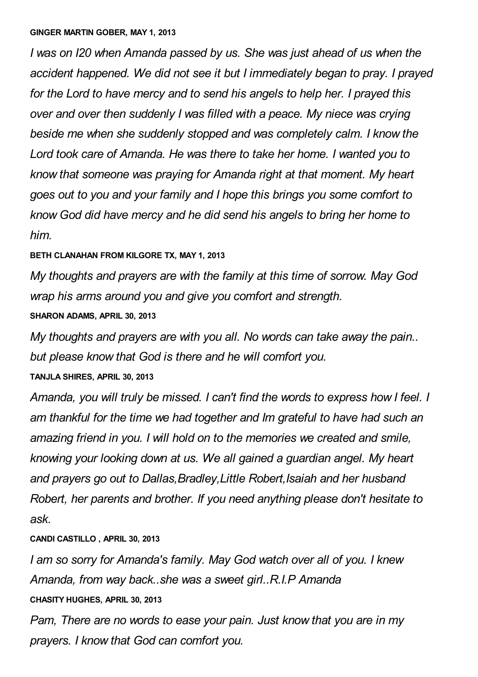#### **GINGER MARTIN GOBER, MAY 1, 2013**

*I was on I20 when Amanda passed by us. She was just ahead of us when the accident happened. We did not see it but I immediately began to pray. I prayed for the Lord to have mercy and to send his angels to help her. I prayed this over and over then suddenly I was filled with a peace. My niece was crying beside me when she suddenly stopped and was completely calm. I know the Lord took care of Amanda. He was there to take her home. I wanted you to know that someone was praying for Amanda right at that moment. My heart goes out to you and your family and I hope this brings you some comfort to know God did have mercy and he did send his angels to bring her home to him.*

### **BETH CLANAHAN FROM KILGORE TX, MAY 1, 2013**

*My thoughts and prayers are with the family at this time of sorrow. May God wrap his arms around you and give you comfort and strength.*

### **SHARON ADAMS, APRIL 30, 2013**

*My thoughts and prayers are with you all. No words can take away the pain.. but please know that God is there and he will comfort you.*

#### **TANJLA SHIRES, APRIL 30, 2013**

*Amanda, you will truly be missed. I can't find the words to express how I feel. I am thankful for the time we had together and Im grateful to have had such an amazing friend in you. I will hold on to the memories we created and smile, knowing your looking down at us. We all gained a guardian angel. My heart and prayers go out to Dallas,Bradley,Little Robert,Isaiah and her husband Robert, her parents and brother. If you need anything please don't hesitate to ask.*

# **CANDI CASTILLO , APRIL 30, 2013**

*I am so sorry for Amanda's family. May God watch over all of you. I knew Amanda, from way back..she was a sweet girl..R.I.P Amanda* **CHASITY HUGHES, APRIL 30, 2013**

*Pam, There are no words to ease your pain. Just know that you are in my prayers. I know that God can comfort you.*